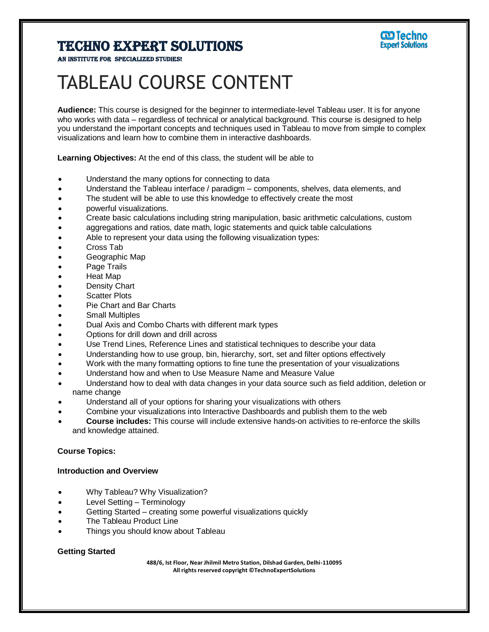

AN INSTITUTE FOR SPECIALIZED STUDI

# TABLEAU COURSE CONTENT

**Audience:** This course is designed for the beginner to intermediate-level Tableau user. It is for anyone who works with data – regardless of technical or analytical background. This course is designed to help you understand the important concepts and techniques used in Tableau to move from simple to complex visualizations and learn how to combine them in interactive dashboards.

**Learning Objectives:** At the end of this class, the student will be able to

- Understand the many options for connecting to data
- Understand the Tableau interface / paradigm components, shelves, data elements, and
- The student will be able to use this knowledge to effectively create the most
- powerful visualizations.
- Create basic calculations including string manipulation, basic arithmetic calculations, custom
- aggregations and ratios, date math, logic statements and quick table calculations
- Able to represent your data using the following visualization types:
- Cross Tab
- **Geographic Map**
- Page Trails
- Heat Map
- Density Chart
- Scatter Plots
- Pie Chart and Bar Charts
- Small Multiples
- Dual Axis and Combo Charts with different mark types
- Options for drill down and drill across
- Use Trend Lines, Reference Lines and statistical techniques to describe your data
- Understanding how to use group, bin, hierarchy, sort, set and filter options effectively
- Work with the many formatting options to fine tune the presentation of your visualizations
- Understand how and when to Use Measure Name and Measure Value
- Understand how to deal with data changes in your data source such as field addition, deletion or name change
- Understand all of your options for sharing your visualizations with others
- Combine your visualizations into Interactive Dashboards and publish them to the web
- **Course includes:** This course will include extensive hands-on activities to re-enforce the skills and knowledge attained.

## **Course Topics:**

#### **Introduction and Overview**

- Why Tableau? Why Visualization?
- Level Setting Terminology
- Getting Started creating some powerful visualizations quickly
- The Tableau Product Line
- Things you should know about Tableau

## **Getting Started**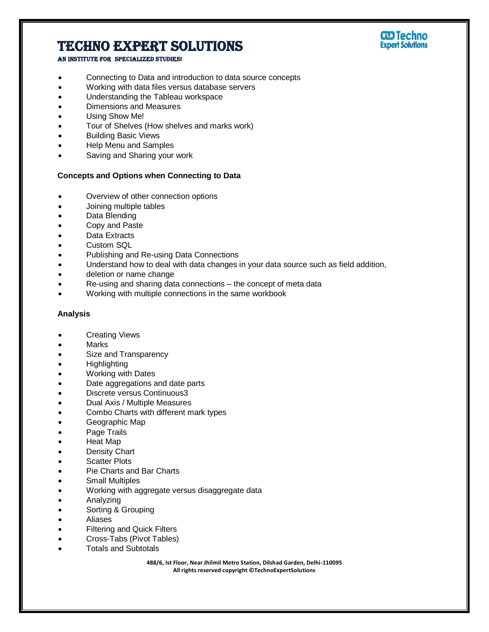# **W** Techno<br>Expert Solutions

# Techno Expert Solutions

#### AN INSTITUTE FOR SPECIALIZED STUDIES!

- Connecting to Data and introduction to data source concepts
- Working with data files versus database servers
- Understanding the Tableau workspace
- Dimensions and Measures
- Using Show Me!
- Tour of Shelves (How shelves and marks work)
- Building Basic Views
- Help Menu and Samples
- Saving and Sharing your work

## **Concepts and Options when Connecting to Data**

- Overview of other connection options
- Joining multiple tables
- Data Blending
- Copy and Paste
- Data Extracts
- Custom SQL
- Publishing and Re-using Data Connections
- Understand how to deal with data changes in your data source such as field addition,
- deletion or name change
- Re-using and sharing data connections the concept of meta data
- Working with multiple connections in the same workbook

#### **Analysis**

- Creating Views
- Marks
- Size and Transparency
- **Highlighting**
- Working with Dates
- Date aggregations and date parts
- Discrete versus Continuous3
- Dual Axis / Multiple Measures
- Combo Charts with different mark types
- Geographic Map
- Page Trails
- Heat Map
- Density Chart
- Scatter Plots
- Pie Charts and Bar Charts
- Small Multiples
- Working with aggregate versus disaggregate data
- Analyzing
- Sorting & Grouping
- Aliases
- Filtering and Quick Filters
- Cross-Tabs (Pivot Tables)
- Totals and Subtotals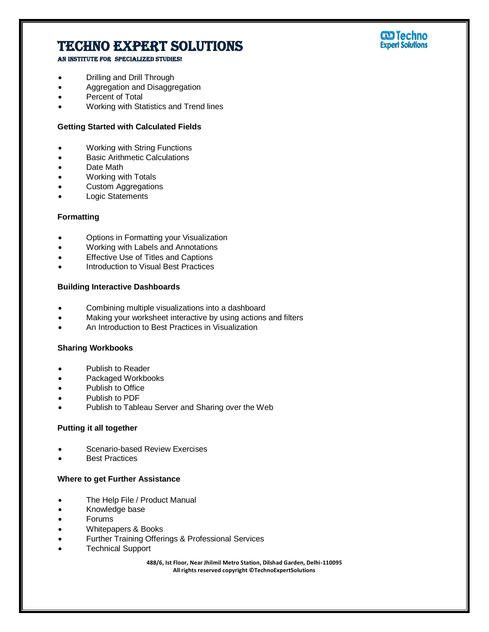### AN INSTITUTE FOR SPECIALIZED STUDIES!

- Drilling and Drill Through
- Aggregation and Disaggregation
- Percent of Total
- Working with Statistics and Trend lines

## **Getting Started with Calculated Fields**

- Working with String Functions
- Basic Arithmetic Calculations
- Date Math
- Working with Totals
- Custom Aggregations
- Logic Statements

#### **Formatting**

- Options in Formatting your Visualization
- Working with Labels and Annotations
- **Effective Use of Titles and Captions**
- Introduction to Visual Best Practices

### **Building Interactive Dashboards**

- Combining multiple visualizations into a dashboard
- Making your worksheet interactive by using actions and filters
- An Introduction to Best Practices in Visualization

#### **Sharing Workbooks**

- Publish to Reader
- Packaged Workbooks
- Publish to Office
- Publish to PDF
- Publish to Tableau Server and Sharing over the Web

#### **Putting it all together**

- Scenario-based Review Exercises
- Best Practices

#### **Where to get Further Assistance**

- The Help File / Product Manual
- Knowledge base
- Forums
- Whitepapers & Books
- Further Training Offerings & Professional Services
- Technical Support

**488/6, Ist Floor, Near Jhilmil Metro Station, Dilshad Garden, Delhi-110095 All rights reserved copyright ©TechnoExpertSolutions**

# **W** Techno<br>Expert Solutions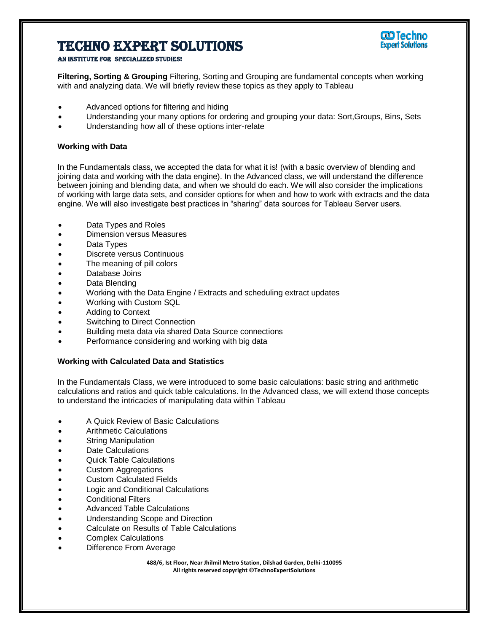

An institute for specialized studies!

**Filtering, Sorting & Grouping** Filtering, Sorting and Grouping are fundamental concepts when working with and analyzing data. We will briefly review these topics as they apply to Tableau

- Advanced options for filtering and hiding
- Understanding your many options for ordering and grouping your data: Sort,Groups, Bins, Sets
- Understanding how all of these options inter-relate

### **Working with Data**

In the Fundamentals class, we accepted the data for what it is! (with a basic overview of blending and joining data and working with the data engine). In the Advanced class, we will understand the difference between joining and blending data, and when we should do each. We will also consider the implications of working with large data sets, and consider options for when and how to work with extracts and the data engine. We will also investigate best practices in "sharing" data sources for Tableau Server users.

- Data Types and Roles
- Dimension versus Measures
- Data Types
- Discrete versus Continuous
- The meaning of pill colors
- Database Joins
- Data Blending
- Working with the Data Engine / Extracts and scheduling extract updates
- Working with Custom SQL
- Adding to Context
- Switching to Direct Connection
- Building meta data via shared Data Source connections
- Performance considering and working with big data

#### **Working with Calculated Data and Statistics**

In the Fundamentals Class, we were introduced to some basic calculations: basic string and arithmetic calculations and ratios and quick table calculations. In the Advanced class, we will extend those concepts to understand the intricacies of manipulating data within Tableau

- A Quick Review of Basic Calculations
- Arithmetic Calculations
- String Manipulation
- Date Calculations
- Quick Table Calculations
- Custom Aggregations
- Custom Calculated Fields
- Logic and Conditional Calculations
- Conditional Filters
- Advanced Table Calculations
- Understanding Scope and Direction
- Calculate on Results of Table Calculations
- Complex Calculations
- Difference From Average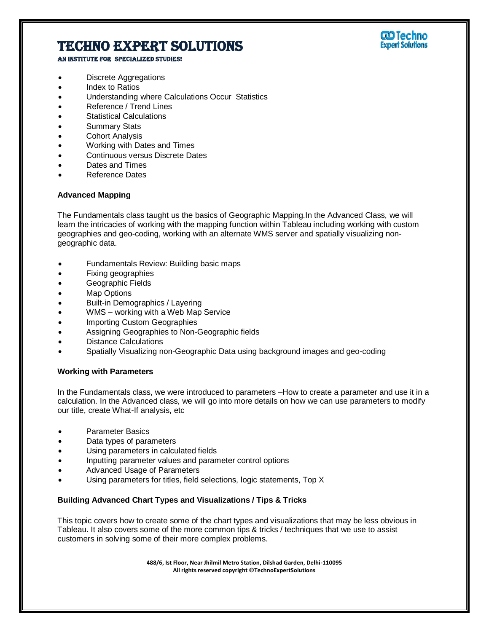

AN INSTITUTE FOR SPECIALIZED STUDIES!

- Discrete Aggregations
- Index to Ratios
- Understanding where Calculations Occur Statistics
- Reference / Trend Lines
- Statistical Calculations
- Summary Stats
- Cohort Analysis
- Working with Dates and Times
- Continuous versus Discrete Dates
- Dates and Times
- Reference Dates

### **Advanced Mapping**

The Fundamentals class taught us the basics of Geographic Mapping.In the Advanced Class, we will learn the intricacies of working with the mapping function within Tableau including working with custom geographies and geo-coding, working with an alternate WMS server and spatially visualizing nongeographic data.

- Fundamentals Review: Building basic maps
- Fixing geographies
- Geographic Fields
- Map Options
- Built-in Demographics / Layering
- WMS working with a Web Map Service
- Importing Custom Geographies
- Assigning Geographies to Non-Geographic fields
- Distance Calculations
- Spatially Visualizing non-Geographic Data using background images and geo-coding

#### **Working with Parameters**

In the Fundamentals class, we were introduced to parameters –How to create a parameter and use it in a calculation. In the Advanced class, we will go into more details on how we can use parameters to modify our title, create What-If analysis, etc

- Parameter Basics
- Data types of parameters
- Using parameters in calculated fields
- Inputting parameter values and parameter control options
- Advanced Usage of Parameters
- Using parameters for titles, field selections, logic statements, Top X

## **Building Advanced Chart Types and Visualizations / Tips & Tricks**

This topic covers how to create some of the chart types and visualizations that may be less obvious in Tableau. It also covers some of the more common tips & tricks / techniques that we use to assist customers in solving some of their more complex problems.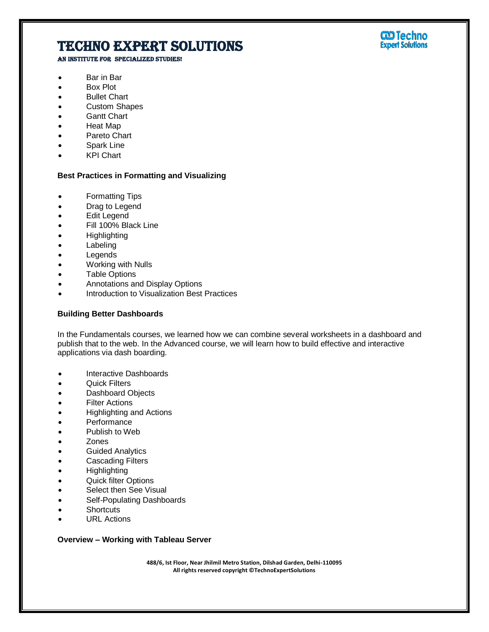AN INSTITUTE FOR SPECIALIZED STUDIES!

- Bar in Bar
- Box Plot
- Bullet Chart
- Custom Shapes
- **Gantt Chart**
- Heat Map
- Pareto Chart
- Spark Line
- KPI Chart

#### **Best Practices in Formatting and Visualizing**

- Formatting Tips
- Drag to Legend
- Edit Legend
- Fill 100% Black Line
- **Highlighting**
- Labeling
- Legends
- Working with Nulls
- Table Options
- Annotations and Display Options
- Introduction to Visualization Best Practices

#### **Building Better Dashboards**

In the Fundamentals courses, we learned how we can combine several worksheets in a dashboard and publish that to the web. In the Advanced course, we will learn how to build effective and interactive applications via dash boarding.

- Interactive Dashboards
- Quick Filters
- Dashboard Objects
- Filter Actions
- Highlighting and Actions
- **Performance**
- Publish to Web
- Zones
- **•** Guided Analytics
- Cascading Filters
- Highlighting
- Quick filter Options
- Select then See Visual
- Self-Populating Dashboards
- Shortcuts
- URL Actions

### **Overview – Working with Tableau Server**

**488/6, Ist Floor, Near Jhilmil Metro Station, Dilshad Garden, Delhi-110095 All rights reserved copyright ©TechnoExpertSolutions**

# **W** Techno<br>Expert Solutions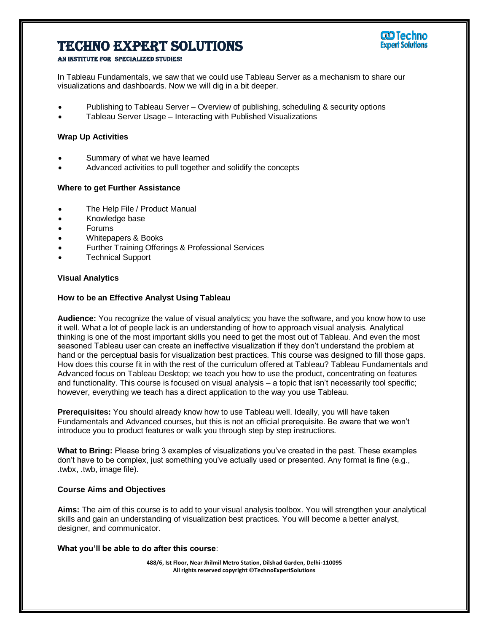

#### AN INSTITUTE FOR SPECIALIZED STUDI

In Tableau Fundamentals, we saw that we could use Tableau Server as a mechanism to share our visualizations and dashboards. Now we will dig in a bit deeper.

- Publishing to Tableau Server Overview of publishing, scheduling & security options
- Tableau Server Usage Interacting with Published Visualizations

#### **Wrap Up Activities**

- Summary of what we have learned
- Advanced activities to pull together and solidify the concepts

#### **Where to get Further Assistance**

- The Help File / Product Manual
- Knowledge base
- Forums
- Whitepapers & Books
- Further Training Offerings & Professional Services
- Technical Support

#### **Visual Analytics**

#### **How to be an Effective Analyst Using Tableau**

**Audience:** You recognize the value of visual analytics; you have the software, and you know how to use it well. What a lot of people lack is an understanding of how to approach visual analysis. Analytical thinking is one of the most important skills you need to get the most out of Tableau. And even the most seasoned Tableau user can create an ineffective visualization if they don't understand the problem at hand or the perceptual basis for visualization best practices. This course was designed to fill those gaps. How does this course fit in with the rest of the curriculum offered at Tableau? Tableau Fundamentals and Advanced focus on Tableau Desktop; we teach you how to use the product, concentrating on features and functionality. This course is focused on visual analysis – a topic that isn't necessarily tool specific; however, everything we teach has a direct application to the way you use Tableau.

**Prerequisites:** You should already know how to use Tableau well. Ideally, you will have taken Fundamentals and Advanced courses, but this is not an official prerequisite. Be aware that we won't introduce you to product features or walk you through step by step instructions.

**What to Bring:** Please bring 3 examples of visualizations you've created in the past. These examples don't have to be complex, just something you've actually used or presented. Any format is fine (e.g., .twbx, .twb, image file).

#### **Course Aims and Objectives**

**Aims:** The aim of this course is to add to your visual analysis toolbox. You will strengthen your analytical skills and gain an understanding of visualization best practices. You will become a better analyst, designer, and communicator.

#### **What you'll be able to do after this course**: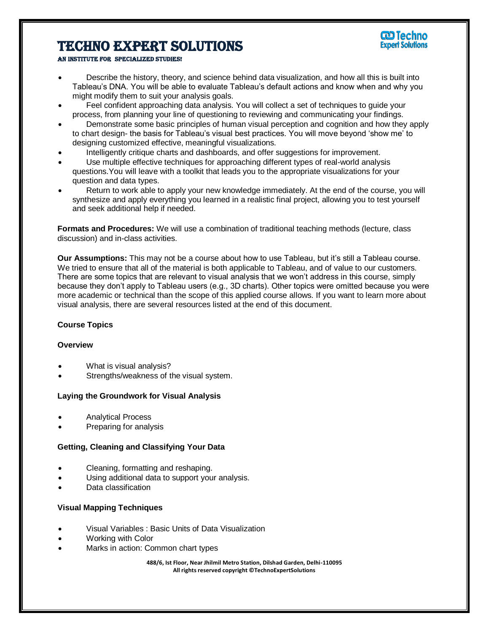

#### An institute for specialized studies!

- Describe the history, theory, and science behind data visualization, and how all this is built into Tableau's DNA. You will be able to evaluate Tableau's default actions and know when and why you might modify them to suit your analysis goals.
- Feel confident approaching data analysis. You will collect a set of techniques to guide your process, from planning your line of questioning to reviewing and communicating your findings.
- Demonstrate some basic principles of human visual perception and cognition and how they apply to chart design- the basis for Tableau's visual best practices. You will move beyond 'show me' to designing customized effective, meaningful visualizations.
- Intelligently critique charts and dashboards, and offer suggestions for improvement.
- Use multiple effective techniques for approaching different types of real-world analysis questions.You will leave with a toolkit that leads you to the appropriate visualizations for your question and data types.
- Return to work able to apply your new knowledge immediately. At the end of the course, you will synthesize and apply everything you learned in a realistic final project, allowing you to test yourself and seek additional help if needed.

**Formats and Procedures:** We will use a combination of traditional teaching methods (lecture, class discussion) and in-class activities.

**Our Assumptions:** This may not be a course about how to use Tableau, but it's still a Tableau course. We tried to ensure that all of the material is both applicable to Tableau, and of value to our customers. There are some topics that are relevant to visual analysis that we won't address in this course, simply because they don't apply to Tableau users (e.g., 3D charts). Other topics were omitted because you were more academic or technical than the scope of this applied course allows. If you want to learn more about visual analysis, there are several resources listed at the end of this document.

#### **Course Topics**

#### **Overview**

- What is visual analysis?
- Strengths/weakness of the visual system.

#### **Laying the Groundwork for Visual Analysis**

- Analytical Process
- Preparing for analysis

### **Getting, Cleaning and Classifying Your Data**

- Cleaning, formatting and reshaping.
- Using additional data to support your analysis.
- Data classification

#### **Visual Mapping Techniques**

- Visual Variables : Basic Units of Data Visualization
- Working with Color
- Marks in action: Common chart types